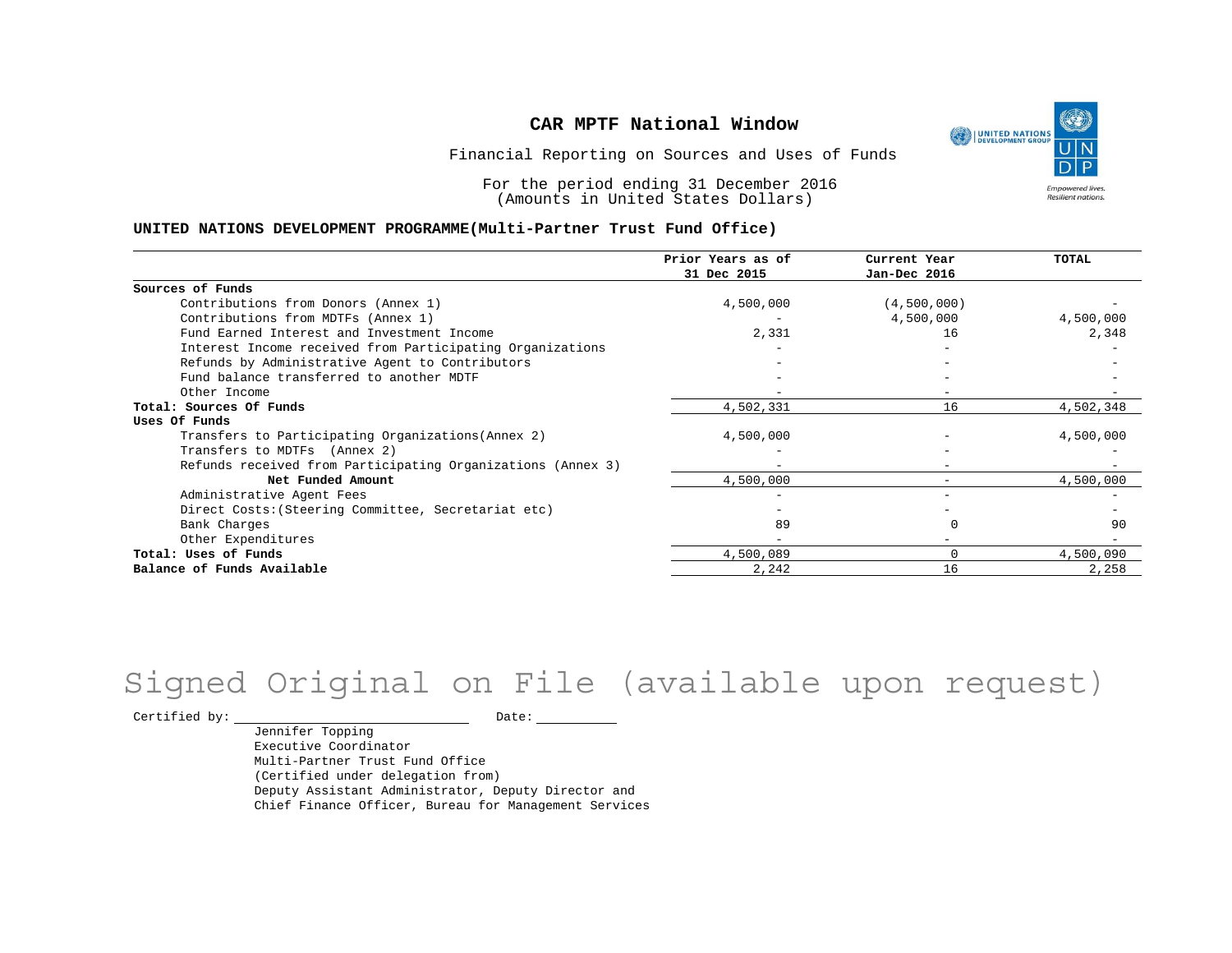UNITED NATIONS **Empowered lives** Resilient nations.

Financial Reporting on Sources and Uses of Funds

For the period ending 31 December 2016 (Amounts in United States Dollars)

#### **UNITED NATIONS DEVELOPMENT PROGRAMME(Multi-Partner Trust Fund Office)**

|                                                             | Prior Years as of<br>31 Dec 2015 | Current Year<br>Jan-Dec 2016 | TOTAL     |
|-------------------------------------------------------------|----------------------------------|------------------------------|-----------|
|                                                             |                                  |                              |           |
| Sources of Funds                                            |                                  |                              |           |
| Contributions from Donors (Annex 1)                         | 4,500,000                        | (4,500,000)                  |           |
| Contributions from MDTFs (Annex 1)                          |                                  | 4,500,000                    | 4,500,000 |
| Fund Earned Interest and Investment Income                  | 2,331                            | 16                           | 2,348     |
| Interest Income received from Participating Organizations   |                                  |                              |           |
| Refunds by Administrative Agent to Contributors             |                                  |                              |           |
| Fund balance transferred to another MDTF                    |                                  |                              |           |
| Other Income                                                |                                  |                              |           |
| Total: Sources Of Funds                                     | 4,502,331                        | 16                           | 4,502,348 |
| Uses Of Funds                                               |                                  |                              |           |
| Transfers to Participating Organizations (Annex 2)          | 4,500,000                        |                              | 4,500,000 |
| Transfers to MDTFs (Annex 2)                                |                                  |                              |           |
| Refunds received from Participating Organizations (Annex 3) | $-$                              | $\overline{\phantom{m}}$     |           |
| Net Funded Amount                                           | 4,500,000                        |                              | 4,500,000 |
| Administrative Agent Fees                                   |                                  |                              |           |
| Direct Costs: (Steering Committee, Secretariat etc)         |                                  |                              |           |
| Bank Charges                                                | 89                               |                              | 90        |
| Other Expenditures                                          |                                  |                              |           |
| Total: Uses of Funds                                        | 4,500,089                        | $\Omega$                     | 4,500,090 |
| Balance of Funds Available                                  | 2,242                            | 16                           | 2,258     |

# Signed Original on File (available upon request)

Certified by: Date:

Jennifer Topping Executive Coordinator Multi-Partner Trust Fund Office (Certified under delegation from) Deputy Assistant Administrator, Deputy Director and Chief Finance Officer, Bureau for Management Services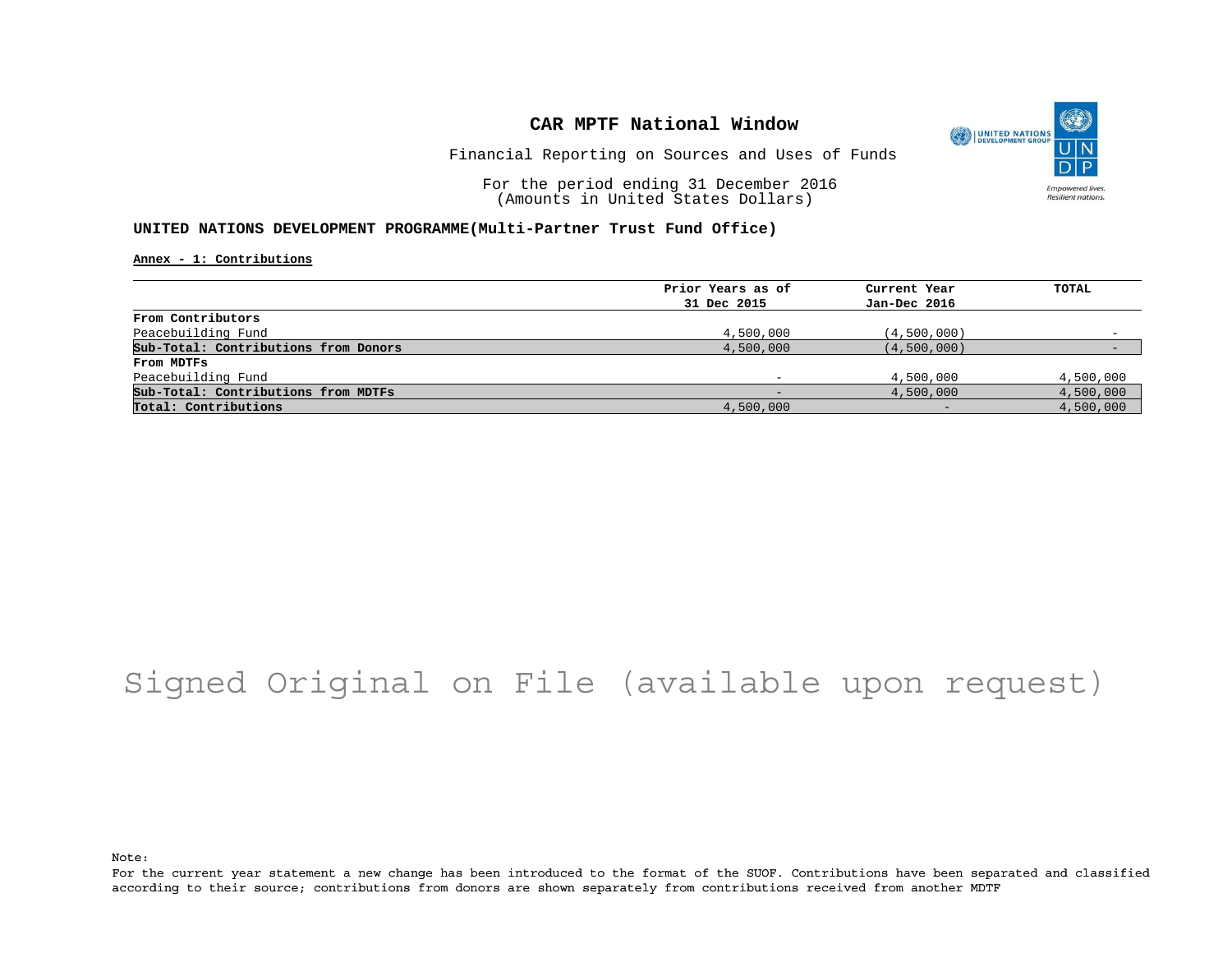

Financial Reporting on Sources and Uses of Funds

For the period ending 31 December 2016 (Amounts in United States Dollars)

#### **UNITED NATIONS DEVELOPMENT PROGRAMME(Multi-Partner Trust Fund Office)**

**Annex - 1: Contributions**

| Prior Years as of | Current Year | TOTAL     |
|-------------------|--------------|-----------|
| 31 Dec 2015       | Jan-Dec 2016 |           |
|                   |              |           |
| 4,500,000         | (4,500,000)  |           |
| 4,500,000         | (4,500,000)  |           |
|                   |              |           |
|                   | 4,500,000    | 4,500,000 |
|                   | 4,500,000    | 4,500,000 |
| 4,500,000         | $-$          | 4,500,000 |
|                   |              |           |

## Signed Original on File (available upon request)

Note:

For the current year statement a new change has been introduced to the format of the SUOF. Contributions have been separated and classified according to their source; contributions from donors are shown separately from contributions received from another MDTF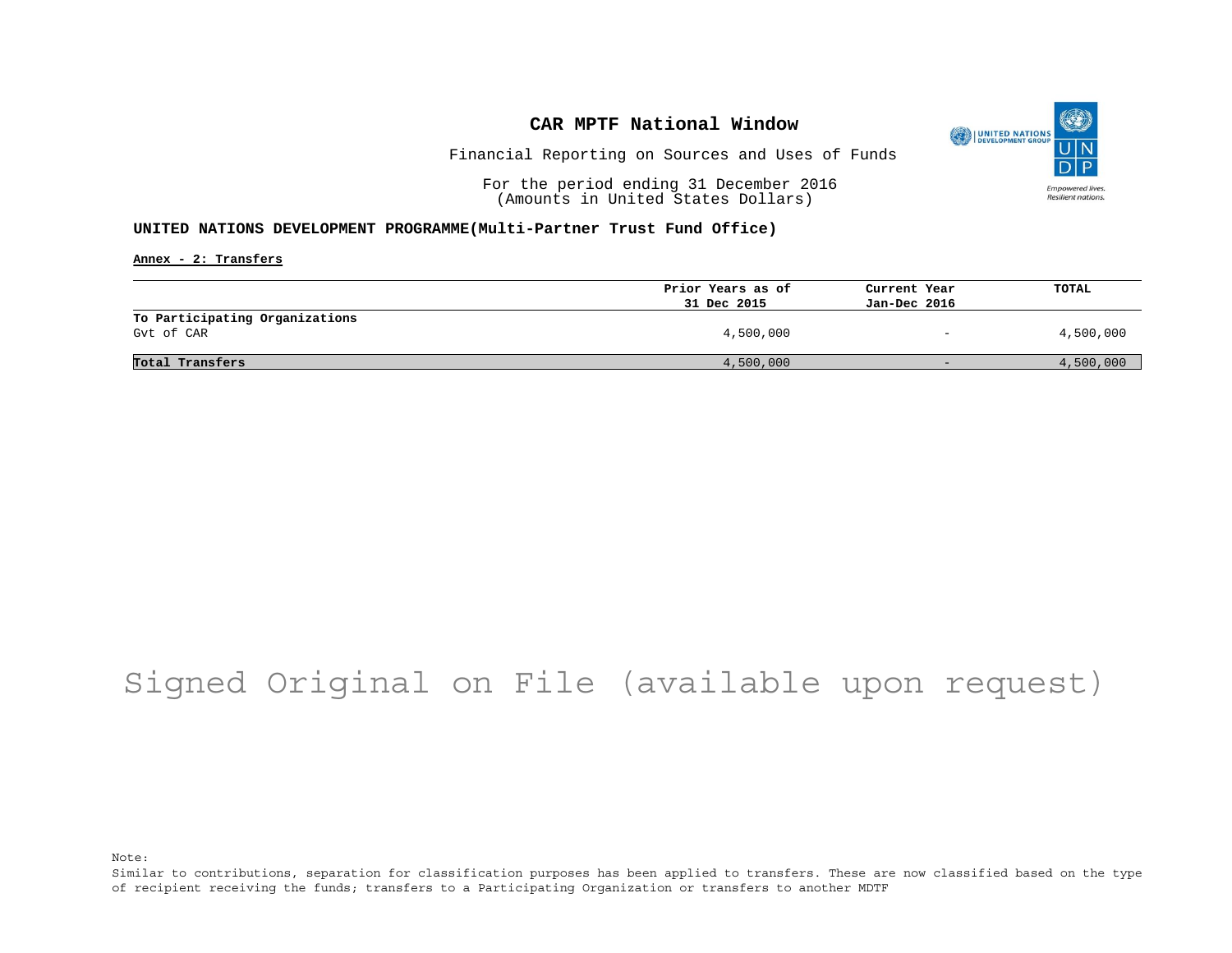

Financial Reporting on Sources and Uses of Funds

For the period ending 31 December 2016 (Amounts in United States Dollars)

#### **UNITED NATIONS DEVELOPMENT PROGRAMME(Multi-Partner Trust Fund Office)**

**Annex - 2: Transfers**

|                                              | Prior Years as of | Current Year             | <b>TOTAL</b> |
|----------------------------------------------|-------------------|--------------------------|--------------|
|                                              | 31 Dec 2015       | Jan-Dec 2016             |              |
| To Participating Organizations<br>Gyt of CAR | 4,500,000         | $\overline{\phantom{0}}$ | 4,500,000    |
| Total Transfers                              | 4,500,000         | $-$                      | 4,500,000    |

## Signed Original on File (available upon request)

Note:

Similar to contributions, separation for classification purposes has been applied to transfers. These are now classified based on the type of recipient receiving the funds; transfers to a Participating Organization or transfers to another MDTF